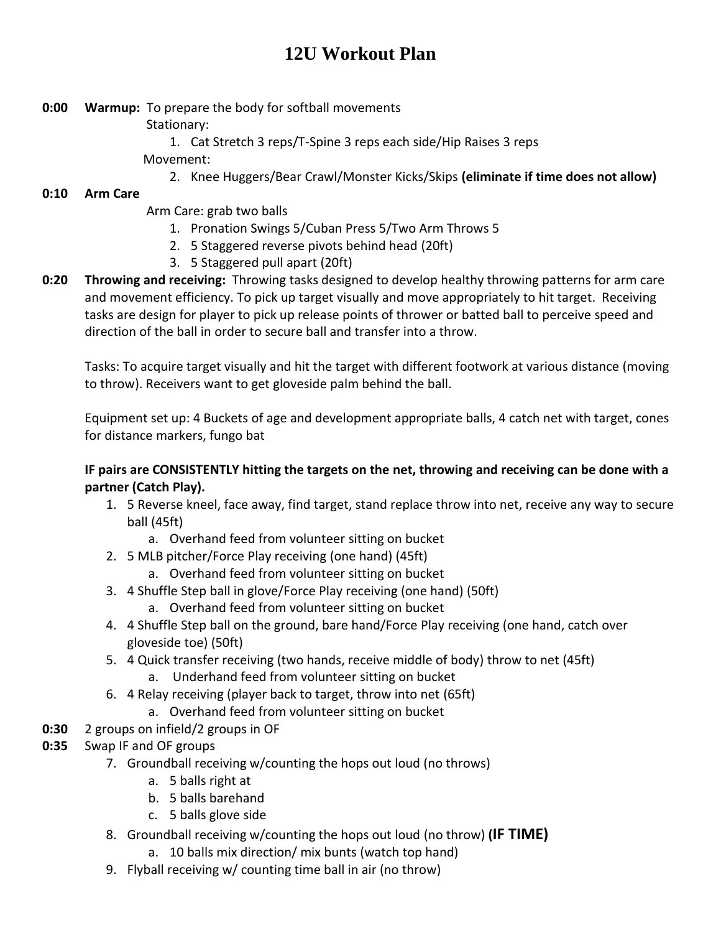# **12U Workout Plan**

- **0:00 Warmup:** To prepare the body for softball movements
	- Stationary:
	- 1. Cat Stretch 3 reps/T-Spine 3 reps each side/Hip Raises 3 reps Movement:
		- 2. Knee Huggers/Bear Crawl/Monster Kicks/Skips **(eliminate if time does not allow)**

## **0:10 Arm Care**

- Arm Care: grab two balls
	- 1. Pronation Swings 5/Cuban Press 5/Two Arm Throws 5
	- 2. 5 Staggered reverse pivots behind head (20ft)
	- 3. 5 Staggered pull apart (20ft)
- **0:20 Throwing and receiving:** Throwing tasks designed to develop healthy throwing patterns for arm care and movement efficiency. To pick up target visually and move appropriately to hit target. Receiving tasks are design for player to pick up release points of thrower or batted ball to perceive speed and direction of the ball in order to secure ball and transfer into a throw.

Tasks: To acquire target visually and hit the target with different footwork at various distance (moving to throw). Receivers want to get gloveside palm behind the ball.

Equipment set up: 4 Buckets of age and development appropriate balls, 4 catch net with target, cones for distance markers, fungo bat

### **IF pairs are CONSISTENTLY hitting the targets on the net, throwing and receiving can be done with a partner (Catch Play).**

- 1. 5 Reverse kneel, face away, find target, stand replace throw into net, receive any way to secure ball (45ft)
	- a. Overhand feed from volunteer sitting on bucket
- 2. 5 MLB pitcher/Force Play receiving (one hand) (45ft)
	- a. Overhand feed from volunteer sitting on bucket
- 3. 4 Shuffle Step ball in glove/Force Play receiving (one hand) (50ft)
	- a. Overhand feed from volunteer sitting on bucket
- 4. 4 Shuffle Step ball on the ground, bare hand/Force Play receiving (one hand, catch over gloveside toe) (50ft)
- 5. 4 Quick transfer receiving (two hands, receive middle of body) throw to net (45ft) a. Underhand feed from volunteer sitting on bucket
- 6. 4 Relay receiving (player back to target, throw into net (65ft)
	- a. Overhand feed from volunteer sitting on bucket
- **0:30** 2 groups on infield/2 groups in OF
- **0:35** Swap IF and OF groups
	- 7. Groundball receiving w/counting the hops out loud (no throws)
		- a. 5 balls right at
		- b. 5 balls barehand
		- c. 5 balls glove side
	- 8. Groundball receiving w/counting the hops out loud (no throw) **(IF TIME)**
		- a. 10 balls mix direction/ mix bunts (watch top hand)
	- 9. Flyball receiving w/ counting time ball in air (no throw)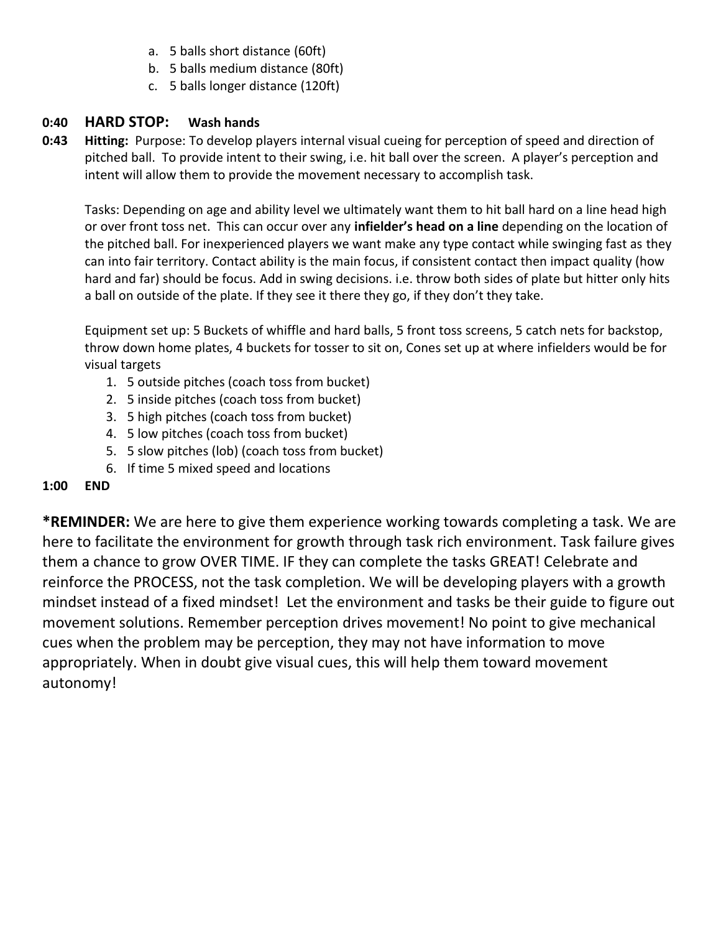- a. 5 balls short distance (60ft)
- b. 5 balls medium distance (80ft)
- c. 5 balls longer distance (120ft)

### **0:40 HARD STOP: Wash hands**

**0:43 Hitting:** Purpose: To develop players internal visual cueing for perception of speed and direction of pitched ball. To provide intent to their swing, i.e. hit ball over the screen. A player's perception and intent will allow them to provide the movement necessary to accomplish task.

Tasks: Depending on age and ability level we ultimately want them to hit ball hard on a line head high or over front toss net. This can occur over any **infielder's head on a line** depending on the location of the pitched ball. For inexperienced players we want make any type contact while swinging fast as they can into fair territory. Contact ability is the main focus, if consistent contact then impact quality (how hard and far) should be focus. Add in swing decisions. i.e. throw both sides of plate but hitter only hits a ball on outside of the plate. If they see it there they go, if they don't they take.

Equipment set up: 5 Buckets of whiffle and hard balls, 5 front toss screens, 5 catch nets for backstop, throw down home plates, 4 buckets for tosser to sit on, Cones set up at where infielders would be for visual targets

- 1. 5 outside pitches (coach toss from bucket)
- 2. 5 inside pitches (coach toss from bucket)
- 3. 5 high pitches (coach toss from bucket)
- 4. 5 low pitches (coach toss from bucket)
- 5. 5 slow pitches (lob) (coach toss from bucket)
- 6. If time 5 mixed speed and locations

### **1:00 END**

**\*REMINDER:** We are here to give them experience working towards completing a task. We are here to facilitate the environment for growth through task rich environment. Task failure gives them a chance to grow OVER TIME. IF they can complete the tasks GREAT! Celebrate and reinforce the PROCESS, not the task completion. We will be developing players with a growth mindset instead of a fixed mindset! Let the environment and tasks be their guide to figure out movement solutions. Remember perception drives movement! No point to give mechanical cues when the problem may be perception, they may not have information to move appropriately. When in doubt give visual cues, this will help them toward movement autonomy!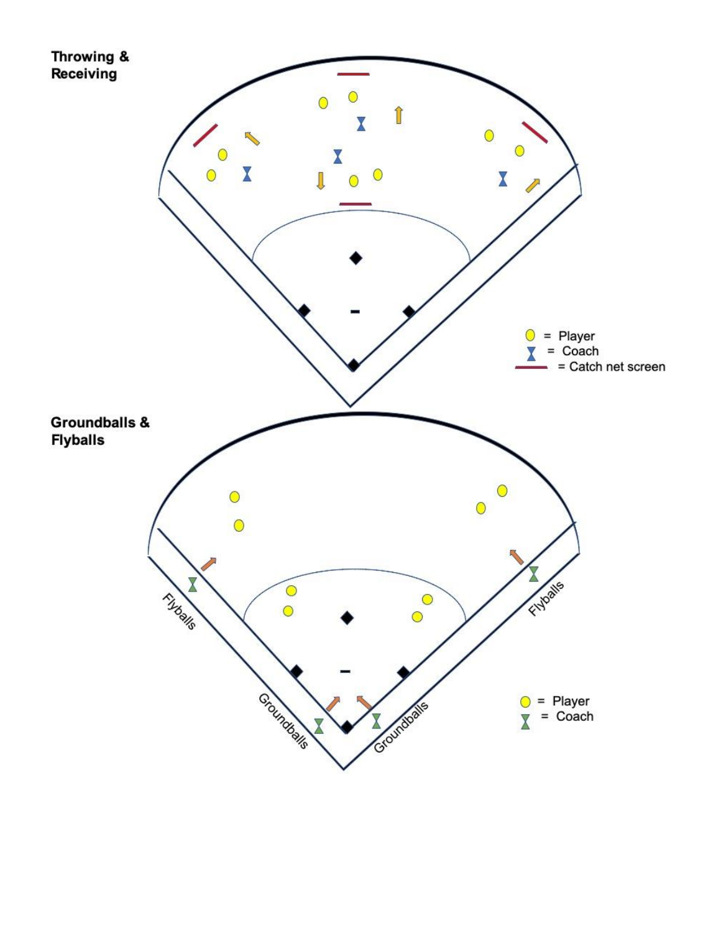